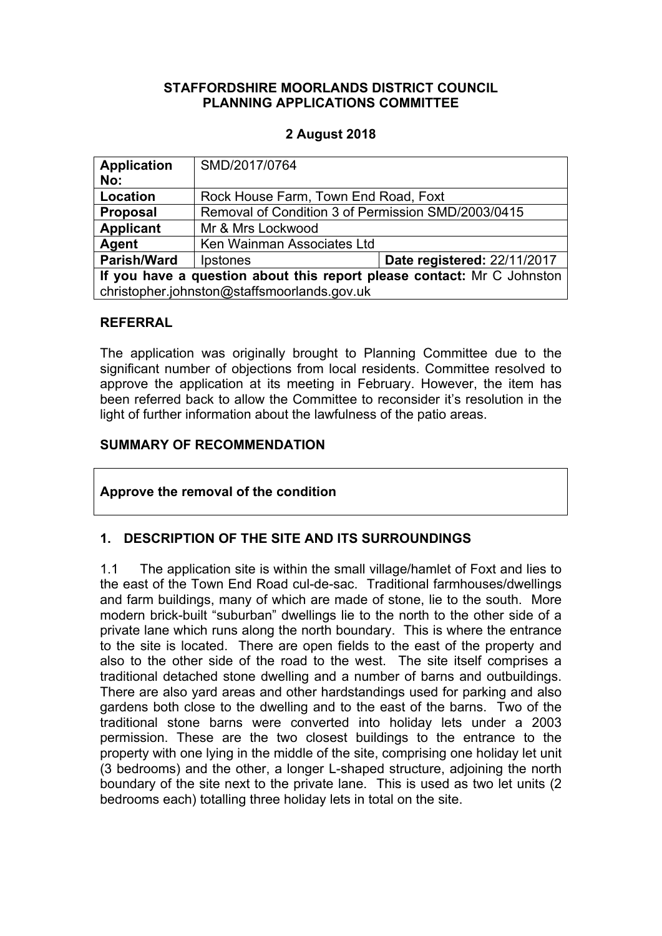#### **STAFFORDSHIRE MOORLANDS DISTRICT COUNCIL PLANNING APPLICATIONS COMMITTEE**

### **2 August 2018**

| <b>Application</b><br>No:                                              | SMD/2017/0764                                      |                             |
|------------------------------------------------------------------------|----------------------------------------------------|-----------------------------|
| Location                                                               | Rock House Farm, Town End Road, Foxt               |                             |
| <b>Proposal</b>                                                        | Removal of Condition 3 of Permission SMD/2003/0415 |                             |
| <b>Applicant</b>                                                       | Mr & Mrs Lockwood                                  |                             |
| Agent                                                                  | Ken Wainman Associates Ltd                         |                             |
| <b>Parish/Ward</b>                                                     | Ipstones                                           | Date registered: 22/11/2017 |
| If you have a question about this report please contact: Mr C Johnston |                                                    |                             |
| christopher.johnston@staffsmoorlands.gov.uk                            |                                                    |                             |

#### **REFERRAL**

The application was originally brought to Planning Committee due to the significant number of objections from local residents. Committee resolved to approve the application at its meeting in February. However, the item has been referred back to allow the Committee to reconsider it's resolution in the light of further information about the lawfulness of the patio areas.

### **SUMMARY OF RECOMMENDATION**

#### **Approve the removal of the condition**

# **1. DESCRIPTION OF THE SITE AND ITS SURROUNDINGS**

1.1 The application site is within the small village/hamlet of Foxt and lies to the east of the Town End Road cul-de-sac. Traditional farmhouses/dwellings and farm buildings, many of which are made of stone, lie to the south. More modern brick-built "suburban" dwellings lie to the north to the other side of a private lane which runs along the north boundary. This is where the entrance to the site is located. There are open fields to the east of the property and also to the other side of the road to the west. The site itself comprises a traditional detached stone dwelling and a number of barns and outbuildings. There are also yard areas and other hardstandings used for parking and also gardens both close to the dwelling and to the east of the barns. Two of the traditional stone barns were converted into holiday lets under a 2003 permission. These are the two closest buildings to the entrance to the property with one lying in the middle of the site, comprising one holiday let unit (3 bedrooms) and the other, a longer L-shaped structure, adjoining the north boundary of the site next to the private lane. This is used as two let units (2 bedrooms each) totalling three holiday lets in total on the site.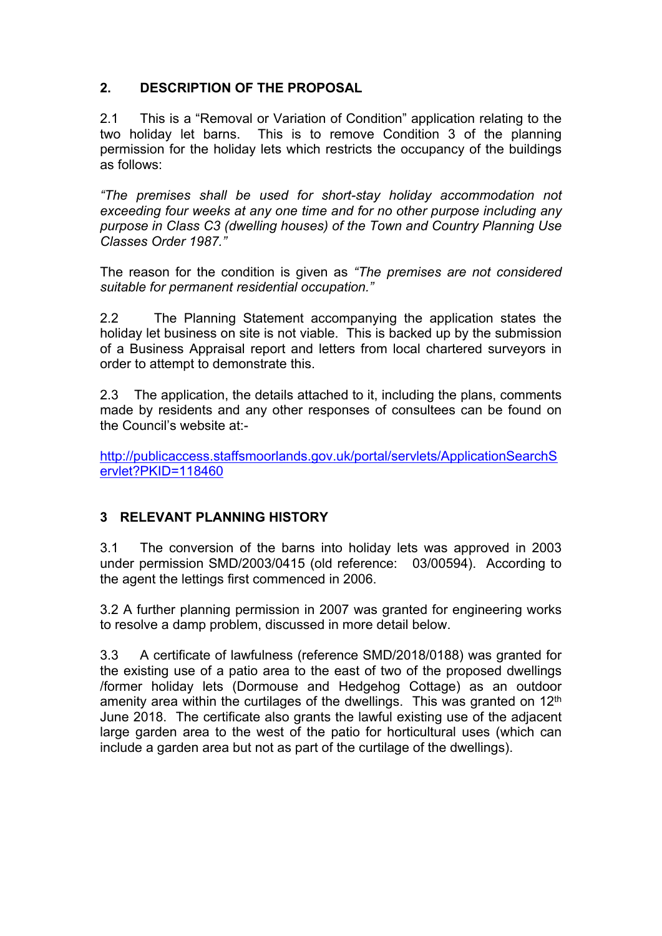# **2. DESCRIPTION OF THE PROPOSAL**

2.1 This is a "Removal or Variation of Condition" application relating to the two holiday let barns. This is to remove Condition 3 of the planning permission for the holiday lets which restricts the occupancy of the buildings as follows:

*"The premises shall be used for short-stay holiday accommodation not exceeding four weeks at any one time and for no other purpose including any purpose in Class C3 (dwelling houses) of the Town and Country Planning Use Classes Order 1987."*

The reason for the condition is given as *"The premises are not considered suitable for permanent residential occupation."*

2.2 The Planning Statement accompanying the application states the holiday let business on site is not viable. This is backed up by the submission of a Business Appraisal report and letters from local chartered surveyors in order to attempt to demonstrate this.

2.3 The application, the details attached to it, including the plans, comments made by residents and any other responses of consultees can be found on the Council's website at:-

[http://publicaccess.staffsmoorlands.gov.uk/portal/servlets/ApplicationSearchS](http://publicaccess.staffsmoorlands.gov.uk/portal/servlets/ApplicationSearchServlet?PKID=118460) [ervlet?PKID=118460](http://publicaccess.staffsmoorlands.gov.uk/portal/servlets/ApplicationSearchServlet?PKID=118460)

# **3 RELEVANT PLANNING HISTORY**

3.1 The conversion of the barns into holiday lets was approved in 2003 under permission SMD/2003/0415 (old reference: 03/00594). According to the agent the lettings first commenced in 2006.

3.2 A further planning permission in 2007 was granted for engineering works to resolve a damp problem, discussed in more detail below.

3.3 A certificate of lawfulness (reference SMD/2018/0188) was granted for the existing use of a patio area to the east of two of the proposed dwellings /former holiday lets (Dormouse and Hedgehog Cottage) as an outdoor amenity area within the curtilages of the dwellings. This was granted on 12<sup>th</sup> June 2018. The certificate also grants the lawful existing use of the adjacent large garden area to the west of the patio for horticultural uses (which can include a garden area but not as part of the curtilage of the dwellings).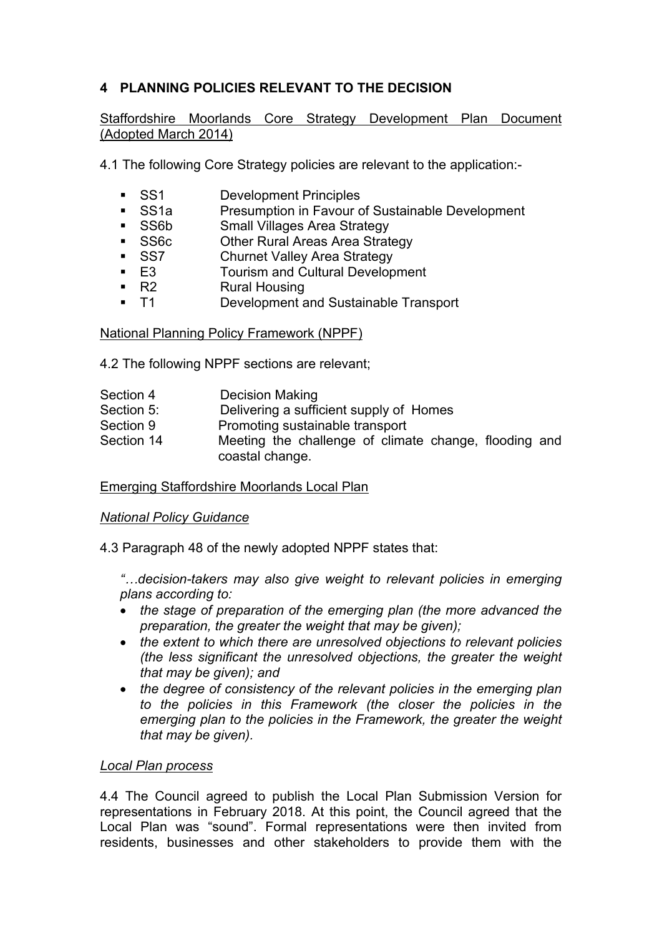# **4 PLANNING POLICIES RELEVANT TO THE DECISION**

Staffordshire Moorlands Core Strategy Development Plan Document (Adopted March 2014)

4.1 The following Core Strategy policies are relevant to the application:-

- SS1 Development Principles
- SS1a Presumption in Favour of Sustainable Development
- **SICE SMALL SMALL SEARCH STATEGY**
- **SS6c** Other Rural Areas Area Strategy
- SS7 Churnet Valley Area Strategy
- E3 Tourism and Cultural Development<br>■ R2 Rural Housing
- Rural Housing
- T1 Development and Sustainable Transport

National Planning Policy Framework (NPPF)

4.2 The following NPPF sections are relevant;

| Section 4  | <b>Decision Making</b>                                                   |  |
|------------|--------------------------------------------------------------------------|--|
| Section 5: | Delivering a sufficient supply of Homes                                  |  |
| Section 9  | Promoting sustainable transport                                          |  |
| Section 14 | Meeting the challenge of climate change, flooding and<br>coastal change. |  |

Emerging Staffordshire Moorlands Local Plan

# *National Policy Guidance*

4.3 Paragraph 48 of the newly adopted NPPF states that:

*"…decision-takers may also give weight to relevant policies in emerging plans according to:*

- *the stage of preparation of the emerging plan (the more advanced the preparation, the greater the weight that may be given);*
- *the extent to which there are unresolved objections to relevant policies (the less significant the unresolved objections, the greater the weight that may be given); and*
- *the degree of consistency of the relevant policies in the emerging plan to the policies in this Framework (the closer the policies in the emerging plan to the policies in the Framework, the greater the weight that may be given).*

# *Local Plan process*

4.4 The Council agreed to publish the Local Plan Submission Version for representations in February 2018. At this point, the Council agreed that the Local Plan was "sound". Formal representations were then invited from residents, businesses and other stakeholders to provide them with the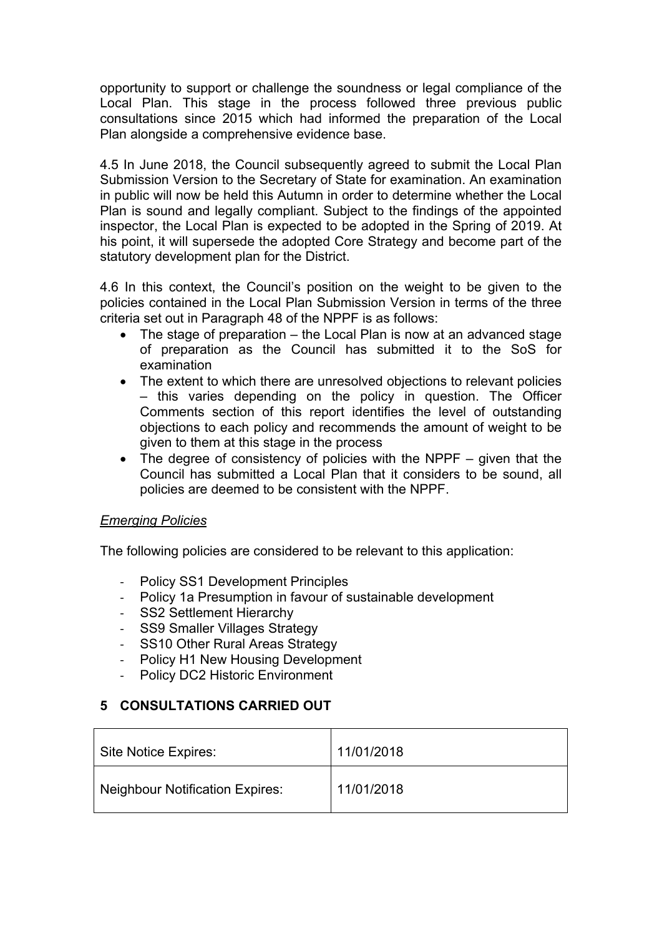opportunity to support or challenge the soundness or legal compliance of the Local Plan. This stage in the process followed three previous public consultations since 2015 which had informed the preparation of the Local Plan alongside a comprehensive evidence base.

4.5 In June 2018, the Council subsequently agreed to submit the Local Plan Submission Version to the Secretary of State for examination. An examination in public will now be held this Autumn in order to determine whether the Local Plan is sound and legally compliant. Subject to the findings of the appointed inspector, the Local Plan is expected to be adopted in the Spring of 2019. At his point, it will supersede the adopted Core Strategy and become part of the statutory development plan for the District.

4.6 In this context, the Council's position on the weight to be given to the policies contained in the Local Plan Submission Version in terms of the three criteria set out in Paragraph 48 of the NPPF is as follows:

- The stage of preparation the Local Plan is now at an advanced stage of preparation as the Council has submitted it to the SoS for examination
- The extent to which there are unresolved objections to relevant policies – this varies depending on the policy in question. The Officer Comments section of this report identifies the level of outstanding objections to each policy and recommends the amount of weight to be given to them at this stage in the process
- $\bullet$  The degree of consistency of policies with the NPPF given that the Council has submitted a Local Plan that it considers to be sound, all policies are deemed to be consistent with the NPPF.

# *Emerging Policies*

The following policies are considered to be relevant to this application:

- Policy SS1 Development Principles
- Policy 1a Presumption in favour of sustainable development
- SS2 Settlement Hierarchy
- SS9 Smaller Villages Strategy
- SS10 Other Rural Areas Strategy
- Policy H1 New Housing Development
- Policy DC2 Historic Environment

# **5 CONSULTATIONS CARRIED OUT**

| Site Notice Expires:                   | 11/01/2018 |
|----------------------------------------|------------|
| <b>Neighbour Notification Expires:</b> | 11/01/2018 |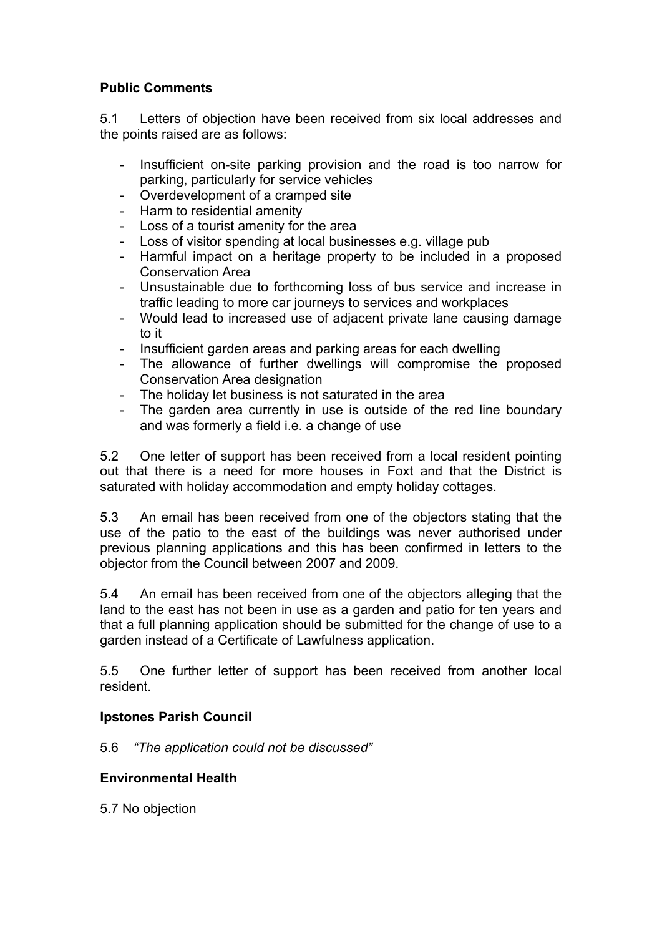# **Public Comments**

5.1 Letters of objection have been received from six local addresses and the points raised are as follows:

- Insufficient on-site parking provision and the road is too narrow for parking, particularly for service vehicles
- Overdevelopment of a cramped site
- Harm to residential amenity
- Loss of a tourist amenity for the area
- Loss of visitor spending at local businesses e.g. village pub
- Harmful impact on a heritage property to be included in a proposed Conservation Area
- Unsustainable due to forthcoming loss of bus service and increase in traffic leading to more car journeys to services and workplaces
- Would lead to increased use of adjacent private lane causing damage to it
- Insufficient garden areas and parking areas for each dwelling
- The allowance of further dwellings will compromise the proposed Conservation Area designation
- The holiday let business is not saturated in the area
- The garden area currently in use is outside of the red line boundary and was formerly a field i.e. a change of use

5.2 One letter of support has been received from a local resident pointing out that there is a need for more houses in Foxt and that the District is saturated with holiday accommodation and empty holiday cottages.

5.3 An email has been received from one of the objectors stating that the use of the patio to the east of the buildings was never authorised under previous planning applications and this has been confirmed in letters to the objector from the Council between 2007 and 2009.

5.4 An email has been received from one of the objectors alleging that the land to the east has not been in use as a garden and patio for ten years and that a full planning application should be submitted for the change of use to a garden instead of a Certificate of Lawfulness application.

5.5 One further letter of support has been received from another local resident.

#### **Ipstones Parish Council**

5.6 *"The application could not be discussed"*

#### **Environmental Health**

5.7 No objection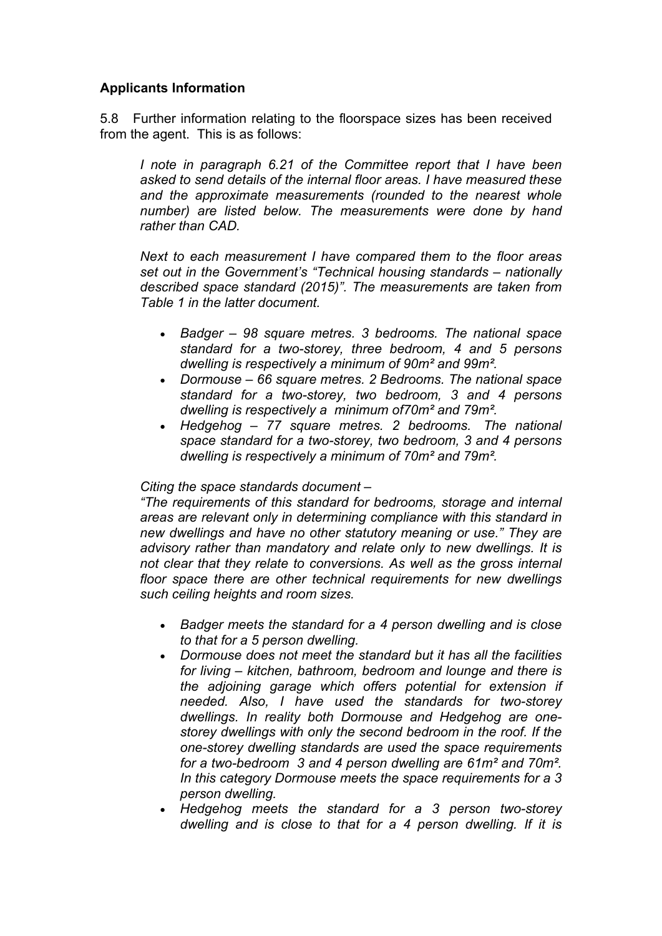### **Applicants Information**

5.8 Further information relating to the floorspace sizes has been received from the agent. This is as follows:

*I note in paragraph 6.21 of the Committee report that I have been asked to send details of the internal floor areas. I have measured these and the approximate measurements (rounded to the nearest whole number) are listed below. The measurements were done by hand rather than CAD.*

*Next to each measurement I have compared them to the floor areas set out in the Government's "Technical housing standards – nationally described space standard (2015)". The measurements are taken from Table 1 in the latter document.*

- *Badger – 98 square metres. 3 bedrooms. The national space standard for a two-storey, three bedroom, 4 and 5 persons dwelling is respectively a minimum of 90m² and 99m².*
- *Dormouse – 66 square metres. 2 Bedrooms. The national space standard for a two-storey, two bedroom, 3 and 4 persons dwelling is respectively a minimum of70m² and 79m².*
- *Hedgehog – 77 square metres. 2 bedrooms. The national space standard for a two-storey, two bedroom, 3 and 4 persons dwelling is respectively a minimum of 70m² and 79m².*

#### *Citing the space standards document –*

*"The requirements of this standard for bedrooms, storage and internal areas are relevant only in determining compliance with this standard in new dwellings and have no other statutory meaning or use." They are advisory rather than mandatory and relate only to new dwellings. It is not clear that they relate to conversions. As well as the gross internal floor space there are other technical requirements for new dwellings such ceiling heights and room sizes.*

- *Badger meets the standard for a 4 person dwelling and is close to that for a 5 person dwelling.*
- *Dormouse does not meet the standard but it has all the facilities for living – kitchen, bathroom, bedroom and lounge and there is the adjoining garage which offers potential for extension if needed. Also, I have used the standards for two-storey dwellings. In reality both Dormouse and Hedgehog are onestorey dwellings with only the second bedroom in the roof. If the one-storey dwelling standards are used the space requirements for a two-bedroom 3 and 4 person dwelling are 61m² and 70m². In this category Dormouse meets the space requirements for a 3 person dwelling.*
- *Hedgehog meets the standard for a 3 person two-storey dwelling and is close to that for a 4 person dwelling. If it is*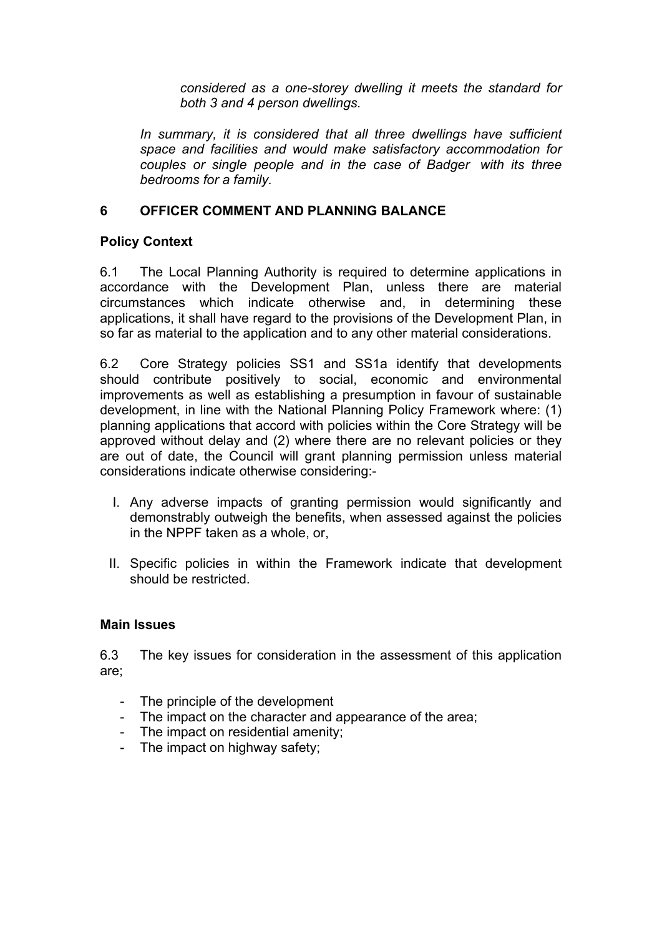*considered as a one-storey dwelling it meets the standard for both 3 and 4 person dwellings.*

*In summary, it is considered that all three dwellings have sufficient space and facilities and would make satisfactory accommodation for couples or single people and in the case of Badger with its three bedrooms for a family.*

## **6 OFFICER COMMENT AND PLANNING BALANCE**

### **Policy Context**

6.1 The Local Planning Authority is required to determine applications in accordance with the Development Plan, unless there are material circumstances which indicate otherwise and, in determining these applications, it shall have regard to the provisions of the Development Plan, in so far as material to the application and to any other material considerations.

6.2 Core Strategy policies SS1 and SS1a identify that developments should contribute positively to social, economic and environmental improvements as well as establishing a presumption in favour of sustainable development, in line with the National Planning Policy Framework where: (1) planning applications that accord with policies within the Core Strategy will be approved without delay and (2) where there are no relevant policies or they are out of date, the Council will grant planning permission unless material considerations indicate otherwise considering:-

- I. Any adverse impacts of granting permission would significantly and demonstrably outweigh the benefits, when assessed against the policies in the NPPF taken as a whole, or,
- II. Specific policies in within the Framework indicate that development should be restricted.

#### **Main Issues**

6.3 The key issues for consideration in the assessment of this application are;

- The principle of the development
- The impact on the character and appearance of the area;
- The impact on residential amenity;
- The impact on highway safety;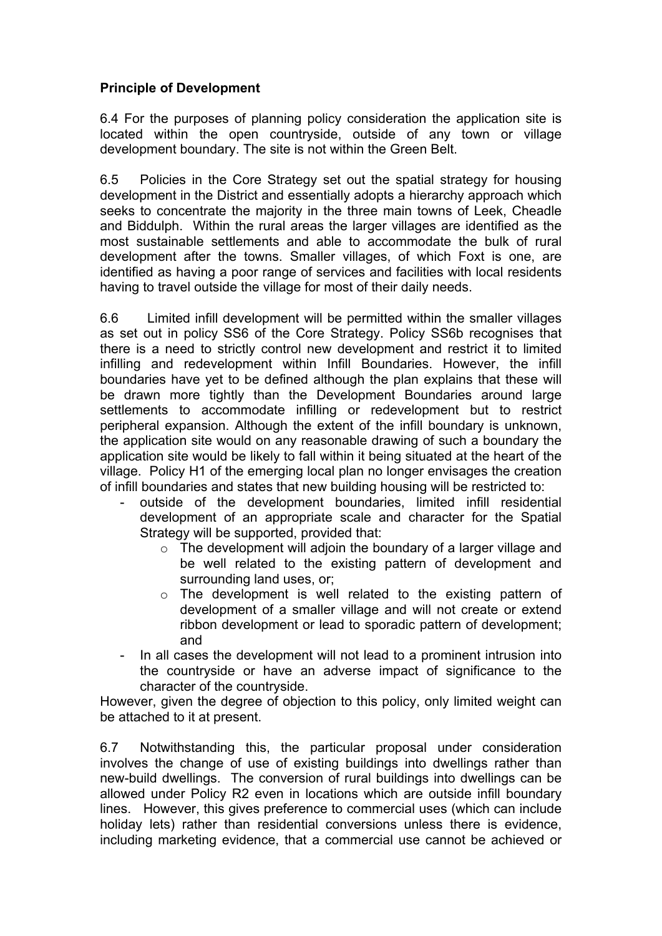# **Principle of Development**

6.4 For the purposes of planning policy consideration the application site is located within the open countryside, outside of any town or village development boundary. The site is not within the Green Belt.

6.5 Policies in the Core Strategy set out the spatial strategy for housing development in the District and essentially adopts a hierarchy approach which seeks to concentrate the majority in the three main towns of Leek, Cheadle and Biddulph. Within the rural areas the larger villages are identified as the most sustainable settlements and able to accommodate the bulk of rural development after the towns. Smaller villages, of which Foxt is one, are identified as having a poor range of services and facilities with local residents having to travel outside the village for most of their daily needs.

6.6 Limited infill development will be permitted within the smaller villages as set out in policy SS6 of the Core Strategy. Policy SS6b recognises that there is a need to strictly control new development and restrict it to limited infilling and redevelopment within Infill Boundaries. However, the infill boundaries have yet to be defined although the plan explains that these will be drawn more tightly than the Development Boundaries around large settlements to accommodate infilling or redevelopment but to restrict peripheral expansion. Although the extent of the infill boundary is unknown, the application site would on any reasonable drawing of such a boundary the application site would be likely to fall within it being situated at the heart of the village. Policy H1 of the emerging local plan no longer envisages the creation of infill boundaries and states that new building housing will be restricted to:

- outside of the development boundaries, limited infill residential development of an appropriate scale and character for the Spatial Strategy will be supported, provided that:
	- $\circ$  The development will adjoin the boundary of a larger village and be well related to the existing pattern of development and surrounding land uses, or;
	- o The development is well related to the existing pattern of development of a smaller village and will not create or extend ribbon development or lead to sporadic pattern of development; and
- In all cases the development will not lead to a prominent intrusion into the countryside or have an adverse impact of significance to the character of the countryside.

However, given the degree of objection to this policy, only limited weight can be attached to it at present.

6.7 Notwithstanding this, the particular proposal under consideration involves the change of use of existing buildings into dwellings rather than new-build dwellings. The conversion of rural buildings into dwellings can be allowed under Policy R2 even in locations which are outside infill boundary lines. However, this gives preference to commercial uses (which can include holiday lets) rather than residential conversions unless there is evidence, including marketing evidence, that a commercial use cannot be achieved or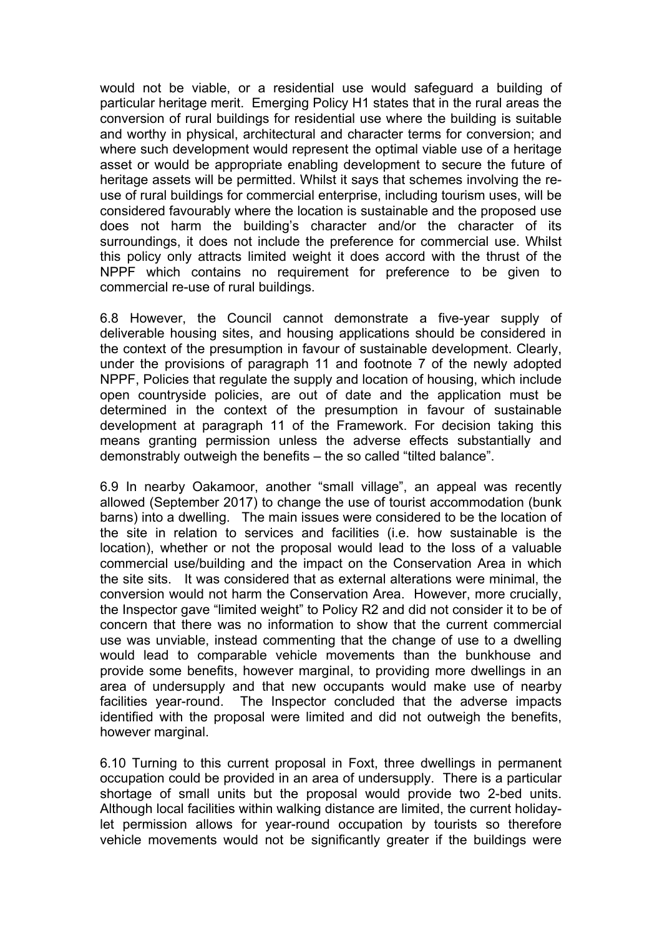would not be viable, or a residential use would safeguard a building of particular heritage merit. Emerging Policy H1 states that in the rural areas the conversion of rural buildings for residential use where the building is suitable and worthy in physical, architectural and character terms for conversion; and where such development would represent the optimal viable use of a heritage asset or would be appropriate enabling development to secure the future of heritage assets will be permitted. Whilst it says that schemes involving the reuse of rural buildings for commercial enterprise, including tourism uses, will be considered favourably where the location is sustainable and the proposed use does not harm the building's character and/or the character of its surroundings, it does not include the preference for commercial use. Whilst this policy only attracts limited weight it does accord with the thrust of the NPPF which contains no requirement for preference to be given to commercial re-use of rural buildings.

6.8 However, the Council cannot demonstrate a five-year supply of deliverable housing sites, and housing applications should be considered in the context of the presumption in favour of sustainable development. Clearly, under the provisions of paragraph 11 and footnote 7 of the newly adopted NPPF, Policies that regulate the supply and location of housing, which include open countryside policies, are out of date and the application must be determined in the context of the presumption in favour of sustainable development at paragraph 11 of the Framework. For decision taking this means granting permission unless the adverse effects substantially and demonstrably outweigh the benefits – the so called "tilted balance".

6.9 In nearby Oakamoor, another "small village", an appeal was recently allowed (September 2017) to change the use of tourist accommodation (bunk barns) into a dwelling. The main issues were considered to be the location of the site in relation to services and facilities (i.e. how sustainable is the location), whether or not the proposal would lead to the loss of a valuable commercial use/building and the impact on the Conservation Area in which the site sits. It was considered that as external alterations were minimal, the conversion would not harm the Conservation Area. However, more crucially, the Inspector gave "limited weight" to Policy R2 and did not consider it to be of concern that there was no information to show that the current commercial use was unviable, instead commenting that the change of use to a dwelling would lead to comparable vehicle movements than the bunkhouse and provide some benefits, however marginal, to providing more dwellings in an area of undersupply and that new occupants would make use of nearby facilities year-round. The Inspector concluded that the adverse impacts identified with the proposal were limited and did not outweigh the benefits, however marginal.

6.10 Turning to this current proposal in Foxt, three dwellings in permanent occupation could be provided in an area of undersupply. There is a particular shortage of small units but the proposal would provide two 2-bed units. Although local facilities within walking distance are limited, the current holidaylet permission allows for year-round occupation by tourists so therefore vehicle movements would not be significantly greater if the buildings were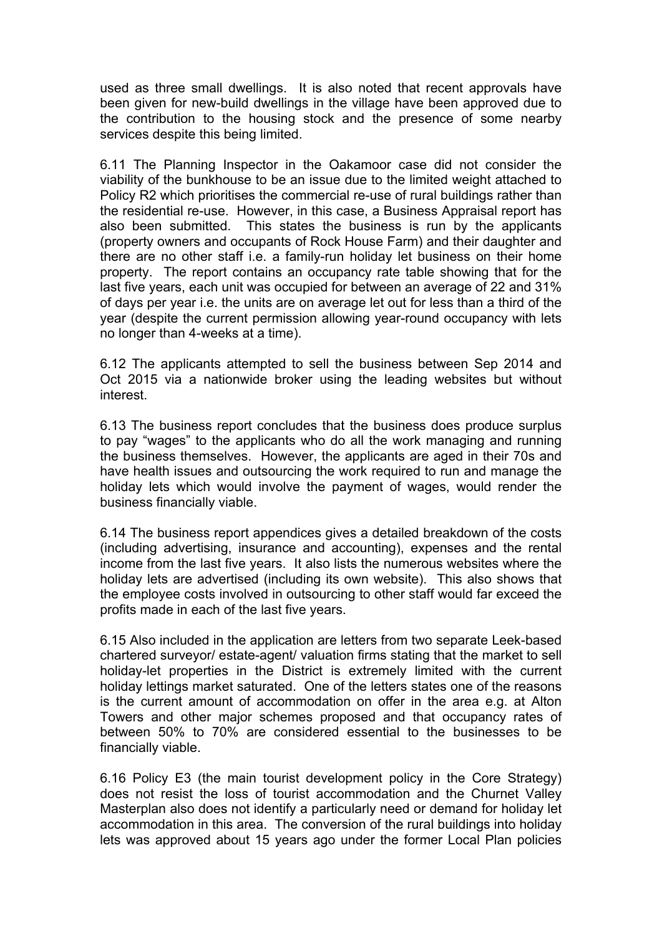used as three small dwellings. It is also noted that recent approvals have been given for new-build dwellings in the village have been approved due to the contribution to the housing stock and the presence of some nearby services despite this being limited.

6.11 The Planning Inspector in the Oakamoor case did not consider the viability of the bunkhouse to be an issue due to the limited weight attached to Policy R2 which prioritises the commercial re-use of rural buildings rather than the residential re-use. However, in this case, a Business Appraisal report has also been submitted. This states the business is run by the applicants (property owners and occupants of Rock House Farm) and their daughter and there are no other staff i.e. a family-run holiday let business on their home property. The report contains an occupancy rate table showing that for the last five years, each unit was occupied for between an average of 22 and 31% of days per year i.e. the units are on average let out for less than a third of the year (despite the current permission allowing year-round occupancy with lets no longer than 4-weeks at a time).

6.12 The applicants attempted to sell the business between Sep 2014 and Oct 2015 via a nationwide broker using the leading websites but without interest.

6.13 The business report concludes that the business does produce surplus to pay "wages" to the applicants who do all the work managing and running the business themselves. However, the applicants are aged in their 70s and have health issues and outsourcing the work required to run and manage the holiday lets which would involve the payment of wages, would render the business financially viable.

6.14 The business report appendices gives a detailed breakdown of the costs (including advertising, insurance and accounting), expenses and the rental income from the last five years. It also lists the numerous websites where the holiday lets are advertised (including its own website). This also shows that the employee costs involved in outsourcing to other staff would far exceed the profits made in each of the last five years.

6.15 Also included in the application are letters from two separate Leek-based chartered surveyor/ estate-agent/ valuation firms stating that the market to sell holiday-let properties in the District is extremely limited with the current holiday lettings market saturated. One of the letters states one of the reasons is the current amount of accommodation on offer in the area e.g. at Alton Towers and other major schemes proposed and that occupancy rates of between 50% to 70% are considered essential to the businesses to be financially viable.

6.16 Policy E3 (the main tourist development policy in the Core Strategy) does not resist the loss of tourist accommodation and the Churnet Valley Masterplan also does not identify a particularly need or demand for holiday let accommodation in this area. The conversion of the rural buildings into holiday lets was approved about 15 years ago under the former Local Plan policies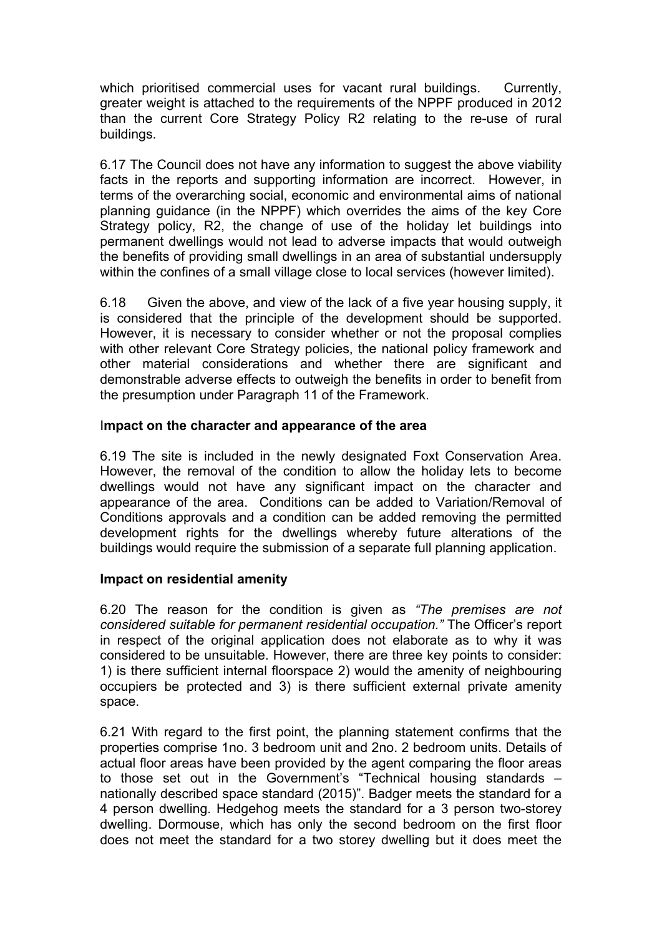which prioritised commercial uses for vacant rural buildings. Currently, greater weight is attached to the requirements of the NPPF produced in 2012 than the current Core Strategy Policy R2 relating to the re-use of rural buildings.

6.17 The Council does not have any information to suggest the above viability facts in the reports and supporting information are incorrect. However, in terms of the overarching social, economic and environmental aims of national planning guidance (in the NPPF) which overrides the aims of the key Core Strategy policy, R2, the change of use of the holiday let buildings into permanent dwellings would not lead to adverse impacts that would outweigh the benefits of providing small dwellings in an area of substantial undersupply within the confines of a small village close to local services (however limited).

6.18 Given the above, and view of the lack of a five year housing supply, it is considered that the principle of the development should be supported. However, it is necessary to consider whether or not the proposal complies with other relevant Core Strategy policies, the national policy framework and other material considerations and whether there are significant and demonstrable adverse effects to outweigh the benefits in order to benefit from the presumption under Paragraph 11 of the Framework.

#### I**mpact on the character and appearance of the area**

6.19 The site is included in the newly designated Foxt Conservation Area. However, the removal of the condition to allow the holiday lets to become dwellings would not have any significant impact on the character and appearance of the area. Conditions can be added to Variation/Removal of Conditions approvals and a condition can be added removing the permitted development rights for the dwellings whereby future alterations of the buildings would require the submission of a separate full planning application.

#### **Impact on residential amenity**

6.20 The reason for the condition is given as *"The premises are not considered suitable for permanent residential occupation."* The Officer's report in respect of the original application does not elaborate as to why it was considered to be unsuitable. However, there are three key points to consider: 1) is there sufficient internal floorspace 2) would the amenity of neighbouring occupiers be protected and 3) is there sufficient external private amenity space.

6.21 With regard to the first point, the planning statement confirms that the properties comprise 1no. 3 bedroom unit and 2no. 2 bedroom units. Details of actual floor areas have been provided by the agent comparing the floor areas to those set out in the Government's "Technical housing standards – nationally described space standard (2015)". Badger meets the standard for a 4 person dwelling. Hedgehog meets the standard for a 3 person two-storey dwelling. Dormouse, which has only the second bedroom on the first floor does not meet the standard for a two storey dwelling but it does meet the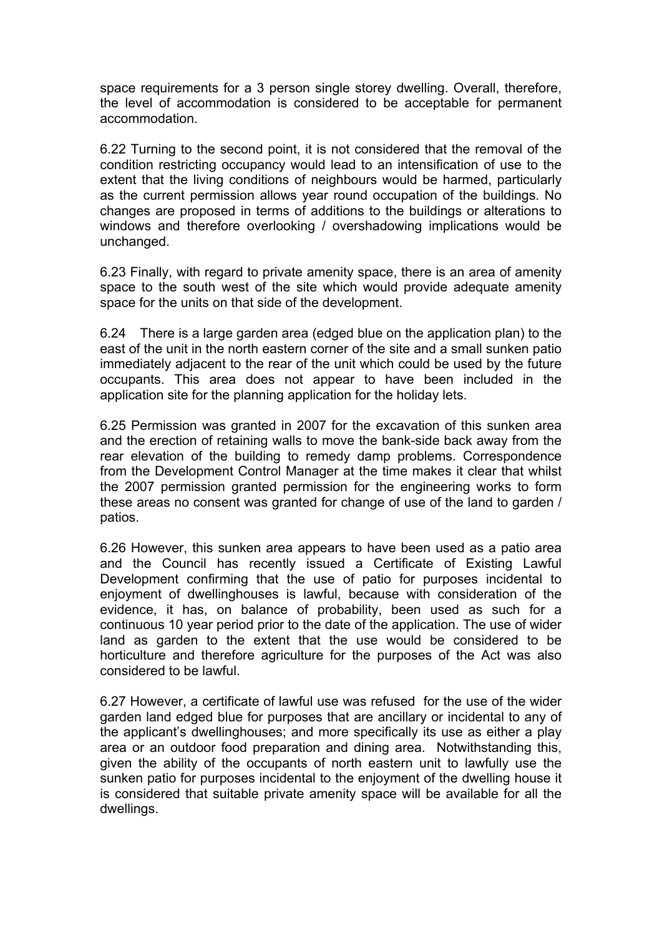space requirements for a 3 person single storey dwelling. Overall, therefore, the level of accommodation is considered to be acceptable for permanent accommodation.

6.22 Turning to the second point, it is not considered that the removal of the condition restricting occupancy would lead to an intensification of use to the extent that the living conditions of neighbours would be harmed, particularly as the current permission allows year round occupation of the buildings. No changes are proposed in terms of additions to the buildings or alterations to windows and therefore overlooking / overshadowing implications would be unchanged.

6.23 Finally, with regard to private amenity space, there is an area of amenity space to the south west of the site which would provide adequate amenity space for the units on that side of the development.

6.24 There is a large garden area (edged blue on the application plan) to the east of the unit in the north eastern corner of the site and a small sunken patio immediately adjacent to the rear of the unit which could be used by the future occupants. This area does not appear to have been included in the application site for the planning application for the holiday lets.

6.25 Permission was granted in 2007 for the excavation of this sunken area and the erection of retaining walls to move the bank-side back away from the rear elevation of the building to remedy damp problems. Correspondence from the Development Control Manager at the time makes it clear that whilst the 2007 permission granted permission for the engineering works to form these areas no consent was granted for change of use of the land to garden / patios.

6.26 However, this sunken area appears to have been used as a patio area and the Council has recently issued a Certificate of Existing Lawful Development confirming that the use of patio for purposes incidental to enjoyment of dwellinghouses is lawful, because with consideration of the evidence, it has, on balance of probability, been used as such for a continuous 10 year period prior to the date of the application. The use of wider land as garden to the extent that the use would be considered to be horticulture and therefore agriculture for the purposes of the Act was also considered to be lawful.

6.27 However, a certificate of lawful use was refused for the use of the wider garden land edged blue for purposes that are ancillary or incidental to any of the applicant's dwellinghouses; and more specifically its use as either a play area or an outdoor food preparation and dining area. Notwithstanding this, given the ability of the occupants of north eastern unit to lawfully use the sunken patio for purposes incidental to the enjoyment of the dwelling house it is considered that suitable private amenity space will be available for all the dwellings.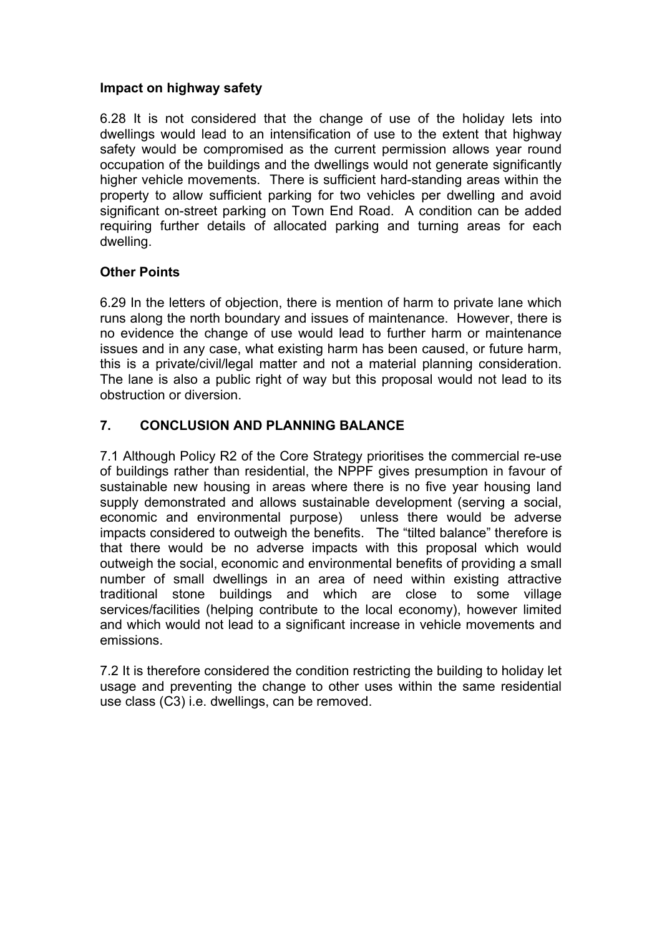### **Impact on highway safety**

6.28 It is not considered that the change of use of the holiday lets into dwellings would lead to an intensification of use to the extent that highway safety would be compromised as the current permission allows year round occupation of the buildings and the dwellings would not generate significantly higher vehicle movements. There is sufficient hard-standing areas within the property to allow sufficient parking for two vehicles per dwelling and avoid significant on-street parking on Town End Road. A condition can be added requiring further details of allocated parking and turning areas for each dwelling.

# **Other Points**

6.29 In the letters of objection, there is mention of harm to private lane which runs along the north boundary and issues of maintenance. However, there is no evidence the change of use would lead to further harm or maintenance issues and in any case, what existing harm has been caused, or future harm, this is a private/civil/legal matter and not a material planning consideration. The lane is also a public right of way but this proposal would not lead to its obstruction or diversion.

# **7. CONCLUSION AND PLANNING BALANCE**

7.1 Although Policy R2 of the Core Strategy prioritises the commercial re-use of buildings rather than residential, the NPPF gives presumption in favour of sustainable new housing in areas where there is no five year housing land supply demonstrated and allows sustainable development (serving a social, economic and environmental purpose) unless there would be adverse impacts considered to outweigh the benefits. The "tilted balance" therefore is that there would be no adverse impacts with this proposal which would outweigh the social, economic and environmental benefits of providing a small number of small dwellings in an area of need within existing attractive traditional stone buildings and which are close to some village services/facilities (helping contribute to the local economy), however limited and which would not lead to a significant increase in vehicle movements and emissions.

7.2 It is therefore considered the condition restricting the building to holiday let usage and preventing the change to other uses within the same residential use class (C3) i.e. dwellings, can be removed.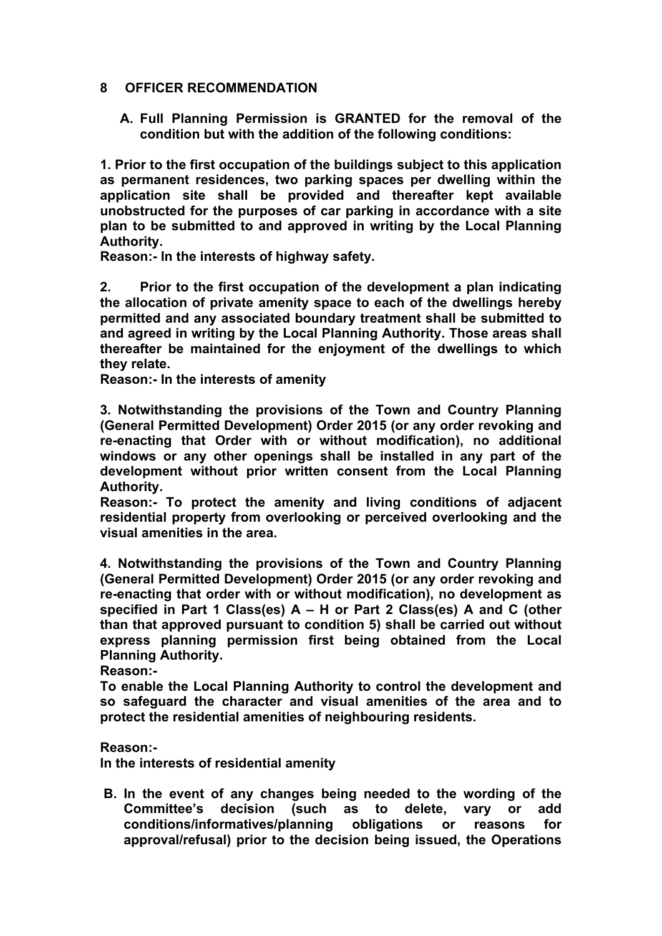#### **8 OFFICER RECOMMENDATION**

**A. Full Planning Permission is GRANTED for the removal of the condition but with the addition of the following conditions:**

**1. Prior to the first occupation of the buildings subject to this application as permanent residences, two parking spaces per dwelling within the application site shall be provided and thereafter kept available unobstructed for the purposes of car parking in accordance with a site plan to be submitted to and approved in writing by the Local Planning Authority.**

**Reason:- In the interests of highway safety.**

**2. Prior to the first occupation of the development a plan indicating the allocation of private amenity space to each of the dwellings hereby permitted and any associated boundary treatment shall be submitted to and agreed in writing by the Local Planning Authority. Those areas shall thereafter be maintained for the enjoyment of the dwellings to which they relate.**

**Reason:- In the interests of amenity**

**3. Notwithstanding the provisions of the Town and Country Planning (General Permitted Development) Order 2015 (or any order revoking and re-enacting that Order with or without modification), no additional windows or any other openings shall be installed in any part of the development without prior written consent from the Local Planning Authority.**

**Reason:- To protect the amenity and living conditions of adjacent residential property from overlooking or perceived overlooking and the visual amenities in the area.**

**4. Notwithstanding the provisions of the Town and Country Planning (General Permitted Development) Order 2015 (or any order revoking and re-enacting that order with or without modification), no development as specified in Part 1 Class(es) A – H or Part 2 Class(es) A and C (other than that approved pursuant to condition 5) shall be carried out without express planning permission first being obtained from the Local Planning Authority.**

**Reason:-**

**To enable the Local Planning Authority to control the development and so safeguard the character and visual amenities of the area and to protect the residential amenities of neighbouring residents.**

#### **Reason:-**

**In the interests of residential amenity**

**B. In the event of any changes being needed to the wording of the Committee's decision (such as to delete, vary or add conditions/informatives/planning obligations or reasons for approval/refusal) prior to the decision being issued, the Operations**